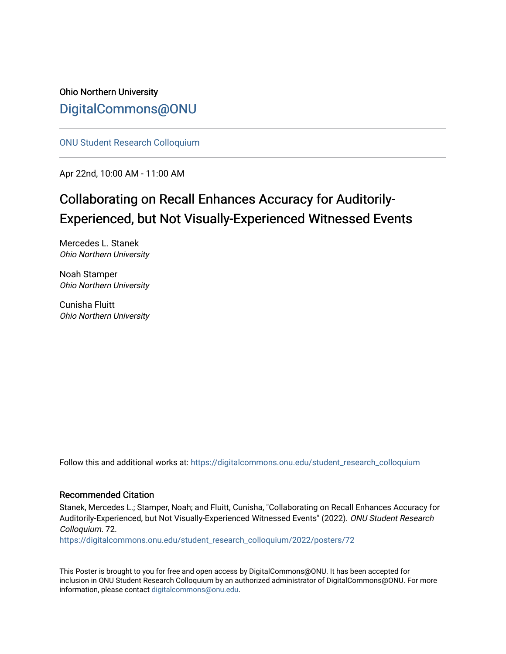### Ohio Northern University [DigitalCommons@ONU](https://digitalcommons.onu.edu/)

[ONU Student Research Colloquium](https://digitalcommons.onu.edu/student_research_colloquium) 

Apr 22nd, 10:00 AM - 11:00 AM

### Collaborating on Recall Enhances Accuracy for Auditorily-Experienced, but Not Visually-Experienced Witnessed Events

Mercedes L. Stanek Ohio Northern University

Noah Stamper Ohio Northern University

Cunisha Fluitt Ohio Northern University

Follow this and additional works at: [https://digitalcommons.onu.edu/student\\_research\\_colloquium](https://digitalcommons.onu.edu/student_research_colloquium?utm_source=digitalcommons.onu.edu%2Fstudent_research_colloquium%2F2022%2Fposters%2F72&utm_medium=PDF&utm_campaign=PDFCoverPages) 

### Recommended Citation

Stanek, Mercedes L.; Stamper, Noah; and Fluitt, Cunisha, "Collaborating on Recall Enhances Accuracy for Auditorily-Experienced, but Not Visually-Experienced Witnessed Events" (2022). ONU Student Research Colloquium. 72.

[https://digitalcommons.onu.edu/student\\_research\\_colloquium/2022/posters/72](https://digitalcommons.onu.edu/student_research_colloquium/2022/posters/72?utm_source=digitalcommons.onu.edu%2Fstudent_research_colloquium%2F2022%2Fposters%2F72&utm_medium=PDF&utm_campaign=PDFCoverPages)

This Poster is brought to you for free and open access by DigitalCommons@ONU. It has been accepted for inclusion in ONU Student Research Colloquium by an authorized administrator of DigitalCommons@ONU. For more information, please contact [digitalcommons@onu.edu.](mailto:digitalcommons@onu.edu)